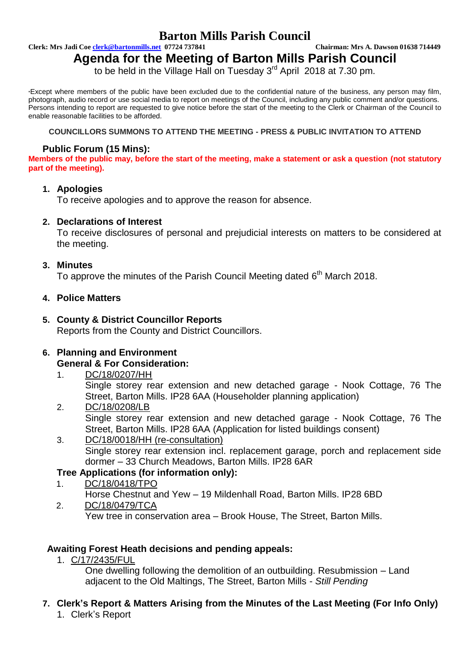## **Barton Mills Parish Council**

**Clerk: Mrs Jadi Coe clerk@bartonmills.net 07724 737841 Chairman: Mrs A. Dawson 01638 714449**

# **Agenda for the Meeting of Barton Mills Parish Council**

to be held in the Village Hall on Tuesday 3<sup>rd</sup> April 2018 at 7.30 pm.

\*Except where members of the public have been excluded due to the confidential nature of the business, any person may film, photograph, audio record or use social media to report on meetings of the Council, including any public comment and/or questions. Persons intending to report are requested to give notice before the start of the meeting to the Clerk or Chairman of the Council to enable reasonable facilities to be afforded.

#### **COUNCILLORS SUMMONS TO ATTEND THE MEETING - PRESS & PUBLIC INVITATION TO ATTEND**

#### **Public Forum (15 Mins):**

**Members of the public may, before the start of the meeting, make a statement or ask a question (not statutory part of the meeting).**

#### **1. Apologies**

To receive apologies and to approve the reason for absence.

#### **2. Declarations of Interest**

To receive disclosures of personal and prejudicial interests on matters to be considered at the meeting.

#### **3. Minutes**

To approve the minutes of the Parish Council Meeting dated 6<sup>th</sup> March 2018.

#### **4. Police Matters**

# **5. County & District Councillor Reports**

Reports from the County and District Councillors.

#### **6. Planning and Environment General & For Consideration:**

- 1. DC/18/0207/HH Single storey rear extension and new detached garage - Nook Cottage, 76 The Street, Barton Mills. IP28 6AA (Householder planning application)
- 2. DC/18/0208/LB Single storey rear extension and new detached garage - Nook Cottage, 76 The Street, Barton Mills. IP28 6AA (Application for listed buildings consent)
- 3. DC/18/0018/HH (re-consultation) Single storey rear extension incl. replacement garage, porch and replacement side dormer – 33 Church Meadows, Barton Mills. IP28 6AR

### **Tree Applications (for information only):**

1. DC/18/0418/TPO Horse Chestnut and Yew – 19 Mildenhall Road, Barton Mills. IP28 6BD 2. DC/18/0479/TCA

Yew tree in conservation area – Brook House, The Street, Barton Mills.

#### **Awaiting Forest Heath decisions and pending appeals:**

1. C/17/2435/FUL

One dwelling following the demolition of an outbuilding. Resubmission – Land adjacent to the Old Maltings, The Street, Barton Mills - *Still Pending*

### **7. Clerk's Report & Matters Arising from the Minutes of the Last Meeting (For Info Only)**

1. Clerk's Report